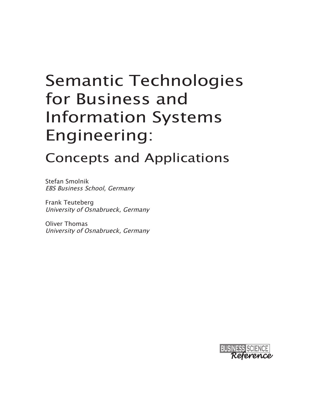# Semantic Technologies for Business and Information Systems Engineering:

# Concepts and Applications

Stefan Smolnik EBS Business School, Germany

Frank Teuteberg University of Osnabrueck, Germany

Oliver Thomas University of Osnabrueck, Germany

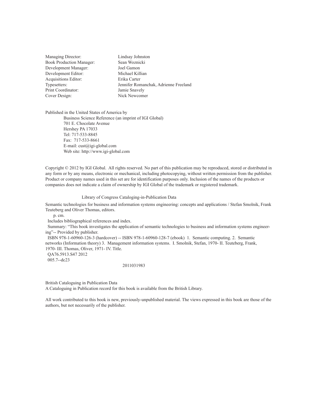| <b>Managing Director:</b>       | Lindsay Johnston                      |
|---------------------------------|---------------------------------------|
| <b>Book Production Manager:</b> | Sean Woznicki                         |
| Development Manager:            | Joel Gamon                            |
| Development Editor:             | Michael Killian                       |
| <b>Acquisitions Editor:</b>     | Erika Carter                          |
| Typesetters:                    | Jennifer Romanchak, Adrienne Freeland |
| Print Coordinator:              | Jamie Snavely                         |
| Cover Design:                   | Nick Newcomer                         |
|                                 |                                       |

Published in the United States of America by Business Science Reference (an imprint of IGI Global) 701 E. Chocolate Avenue Hershey PA 17033 Tel: 717-533-8845 Fax: 717-533-8661 E-mail: cust@igi-global.com Web site: http://www.igi-global.com

Copyright © 2012 by IGI Global. All rights reserved. No part of this publication may be reproduced, stored or distributed in any form or by any means, electronic or mechanical, including photocopying, without written permission from the publisher. Product or company names used in this set are for identification purposes only. Inclusion of the names of the products or companies does not indicate a claim of ownership by IGI Global of the trademark or registered trademark.

#### Library of Congress Cataloging-in-Publication Data

Semantic technologies for business and information systems engineering: concepts and applications / Stefan Smolnik, Frank Teuteberg and Oliver Thomas, editors.

p. cm.

Includes bibliographical references and index.

 Summary: "This book investigates the application of semantic technologies to business and information systems engineering"-- Provided by publisher.

 ISBN 978-1-60960-126-3 (hardcover) -- ISBN 978-1-60960-128-7 (ebook) 1. Semantic computing. 2. Semantic networks (Information theory) 3. Management information systems. I. Smolnik, Stefan, 1970- II. Teuteberg, Frank, 1970- III. Thomas, Oliver, 1971- IV. Title. QA76.5913.S47 2012

005.7--dc23

#### 2011031983

British Cataloguing in Publication Data

A Cataloguing in Publication record for this book is available from the British Library.

All work contributed to this book is new, previously-unpublished material. The views expressed in this book are those of the authors, but not necessarily of the publisher.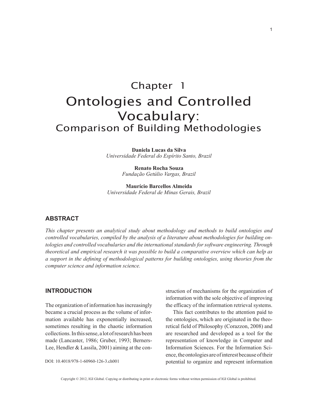## Chapter 1 Ontologies and Controlled Vocabulary: Comparison of Building Methodologies

**Daniela Lucas da Silva** *Universidade Federal do Espírito Santo, Brazil*

> **Renato Rocha Souza** *Fundação Getúlio Vargas, Brazil*

**Maurício Barcellos Almeida** *Universidade Federal de Minas Gerais, Brazil*

#### **ABSTRACT**

*This chapter presents an analytical study about methodology and methods to build ontologies and controlled vocabularies, compiled by the analysis of a literature about methodologies for building ontologies and controlled vocabularies and the international standards for software engineering. Through theoretical and empirical research it was possible to build a comparative overview which can help as a support in the defining of methodological patterns for building ontologies, using theories from the computer science and information science.*

#### **INTRODUCTION**

The organization of information has increasingly became a crucial process as the volume of information available has exponentially increased, sometimes resulting in the chaotic information collections. In this sense, a lot of research has been made (Lancaster, 1986; Gruber, 1993; Berners-Lee, Hendler & Lassila, 2001) aiming at the construction of mechanisms for the organization of information with the sole objective of improving the efficacy of the information retrieval systems.

This fact contributes to the attention paid to the ontologies, which are originated in the theoretical field of Philosophy (Corazzon, 2008) and are researched and developed as a tool for the representation of knowledge in Computer and Information Sciences. For the Information Science, the ontologies are of interest because of their potential to organize and represent information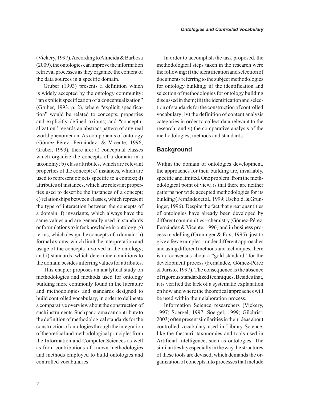(Vickery, 1997). According to Almeida & Barbosa (2009), the ontologies can improve the information retrieval processes as they organize the content of the data sources in a specific domain.

Gruber (1993) presents a definition which is widely accepted by the ontology community: "an explicit specification of a conceptualization" (Gruber, 1993, p. 2), where "explicit specification" would be related to concepts, properties and explicitly defined axioms; and "conceptualization" regards an abstract pattern of any real world phenomenon. As components of ontology (Gómez-Pérez, Fernández, & Vicente, 1996; Gruber, 1993), there are: a) conceptual classes which organize the concepts of a domain in a taxonomy; b) class attributes, which are relevant properties of the concept; c) instances, which are used to represent objects specific to a context; d) attributes of instances, which are relevant properties used to describe the instances of a concept; e) relationships between classes, which represent the type of interaction between the concepts of a domain; f) invariants, which always have the same values and are generally used in standards or formulations to infer knowledge in ontology; g) terms, which design the concepts of a domain; h) formal axioms, which limit the interpretation and usage of the concepts involved in the ontology; and i) standards, which determine conditions to the domain besides inferring values for attributes.

This chapter proposes an analytical study on methodologies and methods used for ontology building more commonly found in the literature and methodologies and standards designed to build controlled vocabulary, in order to delineate a comparative overview about the construction of such instruments. Such panorama can contribute to the definition of methodological standards for the construction of ontologies through the integration of theoretical and methodological principles from the Information and Computer Sciences as well as from contributions of known methodologies and methods employed to build ontologies and controlled vocabularies.

In order to accomplish the task proposed, the methodological steps taken in the research were the following: i) the identification and selection of documents referring to the subject methodologies for ontology building; ii) the identification and selection of methodologies for ontology building discussed in them; iii) the identification and selection of standards for the construction of controlled vocabulary; iv) the definition of content analysis categories in order to collect data relevant to the research; and v) the comparative analysis of the methodologies, methods and standards.

#### **Background**

Within the domain of ontologies development, the approaches for their building are, invariably, specific and limited. One problem, from the methodological point of view, is that there are neither patterns nor wide accepted methodologies for its building (Fernández et al., 1999; Uschold, & Gruninger, 1996). Despite the fact that great quantities of ontologies have already been developed by different communities – chemistry (Gómez-Pérez, Fernández & Vicente, 1996) and in business process modelling (Gruninger & Fox, 1995), just to give a few examples – under different approaches and using different methods and techniques, there is no consensus about a "gold standard" for the development process (Fernández, Gómez-Pérez & Juristo, 1997). The consequence is the absence of rigorous standardized techniques. Besides that, it is verified the lack of a systematic explanation on how and where the theoretical approaches will be used within their elaboration process.

Information Science researchers (Vickery, 1997; Soergel, 1997; Soergel, 1999; Gilchrist, 2003) often present similarities in their ideas about controlled vocabulary used in Library Science, like the thesauri, taxonomies and tools used in Artificial Intelligence, such as ontologies. The similarities lay especially in the way the structures of these tools are devised, which demands the organization of concepts into processes that include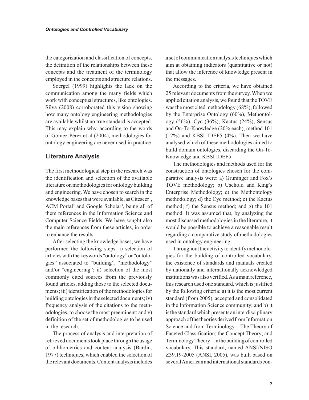the categorization and classification of concepts, the definition of the relationships between these concepts and the treatment of the terminology employed in the concepts and structure relations.

Soergel (1999) highlights the lack on the communication among the many fields which work with conceptual structures, like ontologies. Silva (2008) corroborated this vision showing how many ontology engineering methodologies are available whilst no true standard is accepted. This may explain why, according to the words of Gómez-Pérez et al (2004), methodologies for ontology engineering are never used in practice

#### **Literature Analysis**

The first methodological step in the research was the identification and selection of the available literature on methodologies for ontology building and engineering. We have chosen to search in the knowledge bases that were available, as Citeseer<sup>1</sup>, ACM Portal<sup>2</sup> and Google Scholar<sup>3</sup>, being all of them references in the Information Science and Computer Science Fields. We have sought also the main references from these articles, in order to enhance the results.

After selecting the knowledge bases, we have performed the following steps: i) selection of articles with the keywords "ontology" or "ontologies" associated to "building", "methodology" and/or "engineering"; ii) selection of the most commonly cited sources from the previously found articles, adding those to the selected documents; iii) identification of the methodologies for building ontologies in the selected documents; iv) frequency analysis of the citations to the methodologies, to choose the most preeminent; and v) definition of the set of methodologies to be used in the research.

The process of analysis and interpretation of retrieved documents took place through the usage of bibliometrics and content analysis (Bardin, 1977) techniques, which enabled the selection of the relevant documents. Content analysis includes

a set of communication analysis techniques which aim at obtaining indicators (quantitative or not) that allow the inference of knowledge present in the messages.

According to the criteria, we have obtained 25 relevant documents from the survey. When we applied citation analysis, we found that the TOVE was the most cited methodology (68%), followed by the Enterprise Ontology (60%), Methontology (56%), Cyc (36%), Kactus (24%), Sensus and On-To-Knowledge (20% each), method 101  $(12\%)$  and KBSI IDEF5  $(4\%)$ . Then we have analysed which of these methodologies aimed to build domain ontologies, discarding the On-To-Knowledge and KBSI IDEF5.

The methodologies and methods used for the construction of ontologies chosen for the comparative analysis were: a) Gruninger and Fox's TOVE methodology; b) Uschold and King's Enterprise Methodology; c) the Methontology methodology; d) the Cyc method; e) the Kactus method; f) the Sensus method; and g) the 101 method. It was assumed that, by analyzing the most discussed methodologies in the literature, it would be possible to achieve a reasonable result regarding a comparative study of methodologies used in ontology engineering.

Throughout the activity to identify methodologies for the building of controlled vocabulary, the existence of standards and manuals created by nationally and internationally acknowledged institutions was also verified. As a main reference, this research used one standard, which is justified by the following criteria: a) it is the most current standard (from 2005), accepted and consolidated in the Information Science community; and b) it is the standard which presents an interdisciplinary approach of the theories derived from Information Science and from Terminology – The Theory of Faceted Classification; the Concept Theory; and Terminology Theory – in the building of controlled vocabulary. This standard, named ANSI/NISO Z39.19-2005 (ANSI, 2005), was built based on several American and international standards con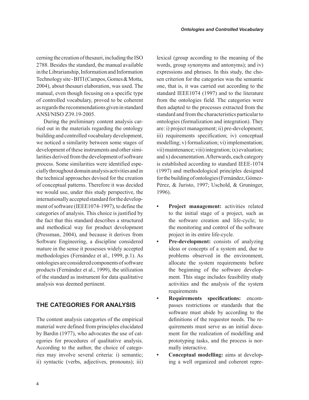cerning the creation of thesauri, including the ISO 2788. Besides the standard, the manual available in the Librarianship, Information and Information Technology site - BITI (Campos, Gomes & Motta, 2004), about thesauri elaboration, was used. The manual, even though focusing on a specific type of controlled vocabulary, proved to be coherent as regards the recommendations given in standard ANSI/NISO Z39.19-2005.

During the preliminary content analysis carried out in the materials regarding the ontology building and controlled vocabulary development, we noticed a similarity between some stages of development of these instruments and other similarities derived from the development of software process. Some similarities were identified especially throughout domain analysis activities and in the technical approaches devised for the creation of conceptual patterns. Therefore it was decided we would use, under this study perspective, the internationally accepted standard for the development of software (IEEE1074-1997), to define the categories of analysis. This choice is justified by the fact that this standard describes a structured and methodical way for product development (Pressman, 2004), and because it derives from Software Engineering, a discipline considered mature in the sense it possesses widely accepted methodologies (Fernández et al., 1999, p.1). As ontologies are considered components of software products (Fernández et al., 1999), the utilization of the standard as instrument for data qualitative analysis was deemed pertinent.

#### **THE CATEGORIES FOR ANALYSIS**

The content analysis categories of the empirical material were defined from principles elucidated by Bardin (1977), who advocates the use of categories for procedures of qualitative analysis. According to the author, the choice of categories may involve several criteria: i) semantic; ii) syntactic (verbs, adjectives, pronouns); iii) lexical (group according to the meaning of the words, group synonyms and antonyms); and iv) expressions and phrases. In this study, the chosen criterion for the categories was the semantic one, that is, it was carried out according to the standard IEEE1074 (1997) and to the literature from the ontologies field. The categories were then adapted to the processes extracted from the standard and from the characteristics particular to ontologies (formalization and integration). They are: i) project management; ii) pre-development; iii) requirements specification; iv) conceptual modelling; v) formalization; vi) implementation; vii) maintenance; viii) integration; ix) evaluation; and x) documentation. Afterwards, each category is established according to standard IEEE-1074 (1997) and methodological principles designed for the building of ontologies (Fernández, Gómez-Pérez, & Juristo, 1997; Uschold, & Gruninger, 1996).

- **• Project management:** activities related to the initial stage of a project, such as the software creation and life-cycle; to the monitoring and control of the software project in its entire life-cycle.
- **• Pre-development:** consists of analyzing ideas or concepts of a system and, due to problems observed in the environment, allocate the system requirements before the beginning of the software development. This stage includes feasibility study activities and the analysis of the system requirements
- **• Requirements specifications:** encompasses restrictions or standards that the software must abide by according to the definitions of the requestor needs. The requirements must serve as an initial document for the realization of modelling and prototyping tasks, and the process is normally interactive.
- **• Conceptual modelling:** aims at developing a well organized and coherent repre-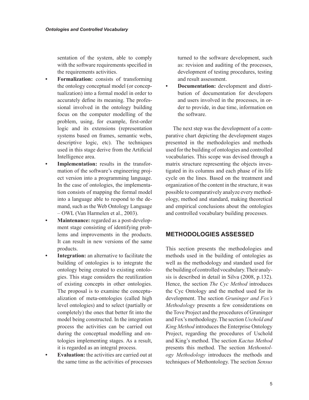sentation of the system, able to comply with the software requirements specified in the requirements activities.

- **• Formalization:** consists of transforming the ontology conceptual model (or conceptualization) into a formal model in order to accurately define its meaning. The professional involved in the ontology building focus on the computer modelling of the problem, using, for example, first-order logic and its extensions (representation systems based on frames, semantic webs, descriptive logic, etc). The techniques used in this stage derive from the Artificial Intelligence area.
- **• Implementation:** results in the transformation of the software's engineering project version into a programming language. In the case of ontologies, the implementation consists of mapping the formal model into a language able to respond to the demand, such as the Web Ontology Language – OWL (Van Harmelen et al., 2003).
- **• Maintenance:** regarded as a post-development stage consisting of identifying problems and improvements in the products. It can result in new versions of the same products.
- **• Integration:** an alternative to facilitate the building of ontologies is to integrate the ontology being created to existing ontologies. This stage considers the reutilization of existing concepts in other ontologies. The proposal is to examine the conceptualization of meta-ontologies (called high level ontologies) and to select (partially or completely) the ones that better fit into the model being constructed. In the integration process the activities can be carried out during the conceptual modelling and ontologies implementing stages. As a result, it is regarded as an integral process.
- **• Evaluation:** the activities are carried out at the same time as the activities of processes

turned to the software development, such as: revision and auditing of the processes, development of testing procedures, testing and result assessment.

**• Documentation:** development and distribution of documentation for developers and users involved in the processes, in order to provide, in due time, information on the software.

The next step was the development of a comparative chart depicting the development stages presented in the methodologies and methods used for the building of ontologies and controlled vocabularies. This scope was devised through a matrix structure representing the objects investigated in its columns and each phase of its life cycle on the lines. Based on the treatment and organization of the content in the structure, it was possible to comparatively analyze every methodology, method and standard, making theoretical and empirical conclusions about the ontologies and controlled vocabulary building processes.

#### **METHODOLOGIES ASSESSED**

This section presents the methodologies and methods used in the building of ontologies as well as the methodology and standard used for the building of controlled vocabulary. Their analysis is described in detail in Silva (2008, p.132). Hence, the section *The Cyc Method* introduces the Cyc Ontology and the method used for its development. The section *Gruninger and Fox's Methodology* presents a few considerations on the Tove Project and the procedures of Gruninger and Fox's methodology. The section *Uschold and King Method* introduces the Enterprise Ontology Project, regarding the procedures of Uschold and King's method. The section *Kactus Method* presents this method. The section *Methontology Methodology* introduces the methods and techniques of Methontology. The section *Sensus*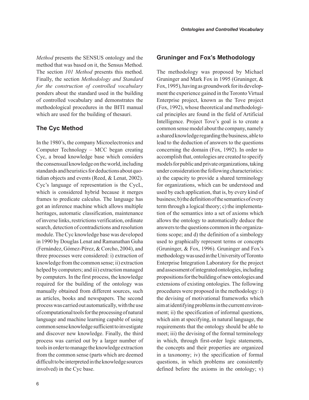*Method* presents the SENSUS ontology and the method that was based on it, the Sensus Method. The section *101 Method* presents this method. Finally, the section *Methodology and Standard for the construction of controlled vocabulary* ponders about the standard used in the building of controlled vocabulary and demonstrates the methodological procedures in the BITI manual which are used for the building of thesauri.

#### **The Cyc Method**

In the 1980's, the company Microelectronics and Computer Technology – MCC began creating Cyc, a broad knowledge base which considers the consensual knowledge on the world, including standards and heuristics for deductions about quotidian objects and events (Reed, & Lenat, 2002). Cyc's language of representation is the CycL, which is considered hybrid because it merges frames to predicate calculus. The language has got an inference machine which allows multiple heritages, automatic classification, maintenance of inverse links, restrictions verification, ordinate search, detection of contradictions and resolution module. The Cyc knowledge base was developed in 1990 by Douglas Lenat and Ramanathan Guha (Fernández, Gómez-Pérez, & Corcho, 2004), and three processes were considered: i) extraction of knowledge from the common sense; ii) extraction helped by computers; and iii) extraction managed by computers. In the first process, the knowledge required for the building of the ontology was manually obtained from different sources, such as articles, books and newspapers. The second process was carried out automatically, with the use of computational tools for the processing of natural language and machine learning capable of using common sense knowledge sufficient to investigate and discover new knowledge. Finally, the third process was carried out by a larger number of tools in order to manage the knowledge extraction from the common sense (parts which are deemed difficult to be interpreted in the knowledge sources involved) in the Cyc base.

#### **Gruninger and Fox's Methodology**

The methodology was proposed by Michael Gruninger and Mark Fox in 1995 (Gruninger, & Fox, 1995), having as groundwork for its development the experience gained in the Toronto Virtual Enterprise project, known as the Tove project (Fox, 1992), whose theoretical and methodological principles are found in the field of Artificial Intelligence. Project Tove's goal is to create a common sense model about the company, namely a shared knowledge regarding the business, able to lead to the deduction of answers to the questions concerning the domain (Fox, 1992). In order to accomplish that, ontologies are created to specify models for public and private organizations, taking under consideration the following characteristics: a) the capacity to provide a shared terminology for organizations, which can be understood and used by each application, that is, by every kind of business; b) the definition of the semantics of every term through a logical theory; c) the implementation of the semantics into a set of axioms which allows the ontology to automatically deduce the answers to the questions common in the organizations scope; and d) the definition of a simbology used to graphically represent terms or concepts (Gruninger, & Fox, 1996). Gruninger and Fox's methodology was used in the University of Toronto Enterprise Integration Laboratory for the project and assessment of integrated ontologies, including propositions for the building of new ontologies and extensions of existing ontologies. The following procedures were proposed in the methodology: i) the devising of motivational frameworks which aim at identifying problems in the current environment; ii) the specification of informal questions, which aim at specifying, in natural language, the requirements that the ontology should be able to meet; iii) the devising of the formal terminology in which, through first-order logic statements, the concepts and their properties are organized in a taxonomy; iv) the specification of formal questions, in which problems are consistently defined before the axioms in the ontology; v)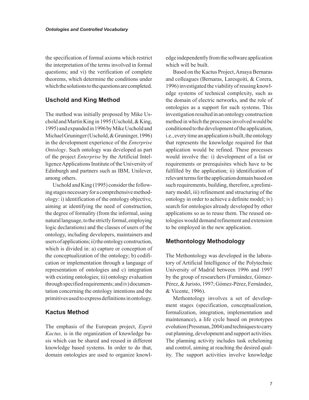the specification of formal axioms which restrict the interpretation of the terms involved in formal questions; and vi) the verification of complete theorems, which determine the conditions under which the solutions to the questions are completed.

#### **Uschold and King Method**

The method was initially proposed by Mike Uschold and Martin King in 1995 (Uschold, & King, 1995) and expanded in 1996 by Mike Uschold and Michael Gruninger (Uschold, & Gruninger, 1996) in the development experience of the *Enterprise Ontology*. Such ontology was developed as part of the project *Enterprise* by the Artificial Intelligence Applications Institute of the University of Edinburgh and partners such as IBM, Unilever, among others.

Uschold and King (1995) consider the following stages necessary for a comprehensive methodology: i) identification of the ontology objective, aiming at identifying the need of construction, the degree of formality (from the informal, using natural language, to the strictly formal, employing logic declarations) and the classes of users of the ontology, including developers, maintainers and users of applications; ii) the ontology construction, which is divided in: a) capture or conception of the conceptualization of the ontology; b) codification or implementation through a language of representation of ontologies and c) integration with existing ontologies; iii) ontology evaluation through specified requirements; and iv) documentation concerning the ontology intentions and the primitives used to express definitions in ontology.

#### **Kactus Method**

The emphasis of the European project, *Esprit Kactus,* is in the organization of knowledge basis which can be shared and reused in different knowledge based systems. In order to do that, domain ontologies are used to organize knowledge independently from the software application which will be built.

Based on the Kactus Project, Amaya Bernaras and colleagues (Bernaras, Laresgoiti, & Corera, 1996) investigated the viability of reusing knowledge systems of technical complexity, such as the domain of electric networks, and the role of ontologies as a support for such systems. This investigation resulted in an ontology construction method in which the processes involved would be conditioned to the development of the application, i.e., every time an application is built, the ontology that represents the knowledge required for that application would be refined. These processes would involve the: i) development of a list or requirements or prerequisites which have to be fulfilled by the application; ii) identification of relevant terms for the application domain based on such requirements, building, therefore, a preliminary model, iii) refinement and structuring of the ontology in order to achieve a definite model; iv) search for ontologies already developed by other applications so as to reuse them. The reused ontologies would demand refinement and extension to be employed in the new application.

#### **Methontology Methodology**

The Methontology was developed in the laboratory of Artificial Intelligence of the Polytechnic University of Madrid between 1996 and 1997 by the group of researchers (Fernández, Gómez-Pérez, & Juristo, 1997; Gómez-Pérez, Fernández, & Vicente, 1996).

Methontology involves a set of development stages (specification, conceptualization, formalization, integration, implementation and maintenance), a life cycle based on prototypes evolution (Pressman, 2004) and techniques to carry out planning, development and support activities. The planning activity includes task echeloning and control, aiming at reaching the desired quality. The support activities involve knowledge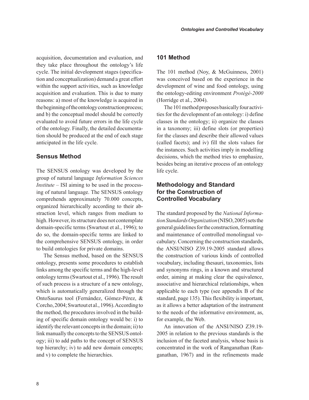acquisition, documentation and evaluation, and they take place throughout the ontology's life cycle. The initial development stages (specification and conceptualization) demand a great effort within the support activities, such as knowledge acquisition and evaluation. This is due to many reasons: a) most of the knowledge is acquired in the beginning of the ontology construction process; and b) the conceptual model should be correctly evaluated to avoid future errors in the life cycle of the ontology. Finally, the detailed documentation should be produced at the end of each stage anticipated in the life cycle.

#### **Sensus Method**

The SENSUS ontology was developed by the group of natural language *Information Sciences Institute* – ISI aiming to be used in the processing of natural language. The SENSUS ontology comprehends approximately 70.000 concepts, organized hierarchically according to their abstraction level, which ranges from medium to high. However, its structure does not contemplate domain-specific terms (Swartout et al., 1996); to do so, the domain-specific terms are linked to the comprehensive SENSUS ontology, in order to build ontologies for private domains.

The Sensus method, based on the SENSUS ontology, presents some procedures to establish links among the specific terms and the high-level ontology terms (Swartout et al., 1996). The result of such process is a structure of a new ontology, which is automatically generalized through the OntoSaurus tool (Fernández, Gómez-Pérez, & Corcho, 2004; Swartout et al., 1996). According to the method, the procedures involved in the building of specific domain ontology would be: i) to identify the relevant concepts in the domain; ii) to link manually the concepts to the SENSUS ontology; iii) to add paths to the concept of SENSUS top hierarchy; iv) to add new domain concepts; and v) to complete the hierarchies.

#### **101 Method**

The 101 method (Noy, & McGuinness, 2001) was conceived based on the experience in the development of wine and food ontology, using the ontology-editing environment *Protégé-2000* (Horridge et al., 2004).

The 101 method proposes basically four activities for the development of an ontology: i) define classes in the ontology; ii) organize the classes in a taxonomy; iii) define slots (or properties) for the classes and describe their allowed values (called facets); and iv) fill the slots values for the instances. Such activities imply in modelling decisions, which the method tries to emphasize, besides being an iterative process of an ontology life cycle.

#### **Methodology and Standard for the Construction of Controlled Vocabulary**

The standard proposed by the *National Information Standards Organization* (NISO, 2005) sets the general guidelines for the construction, formatting and maintenance of controlled monolingual vocabulary. Concerning the construction standards, the ANSI/NISO Z39.19-2005 standard allows the construction of various kinds of controlled vocabulary, including thesauri, taxonomies, lists and synonyms rings, in a known and structured order, aiming at making clear the equivalence, associative and hierarchical relationships, when applicable to each type (see appendix B of the standard, page 135). This flexibility is important, as it allows a better adaptation of the instrument to the needs of the informative environment, as, for example, the Web.

An innovation of the ANSI/NISO Z39.19- 2005 in relation to the previous standards is the inclusion of the faceted analysis, whose basis is concentrated in the work of Ranganathan (Ranganathan, 1967) and in the refinements made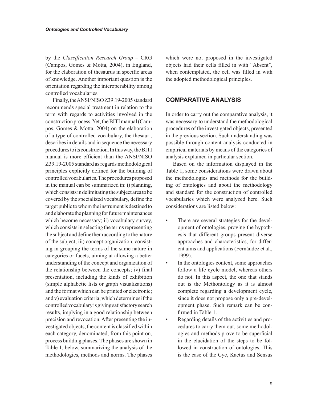by the *Classification Research Group* – CRG (Campos, Gomes & Motta, 2004), in England, for the elaboration of thesaurus in specific areas of knowledge. Another important question is the orientation regarding the interoperability among controlled vocabularies.

Finally, the ANSI/NISO Z39.19-2005 standard recommends special treatment in relation to the term with regards to activities involved in the construction process. Yet, the BITI manual (Campos, Gomes & Motta, 2004) on the elaboration of a type of controlled vocabulary, the thesauri, describes in details and in sequence the necessary procedures to its construction. In this way, the BITI manual is more efficient than the ANSI/NISO Z39.19-2005 standard as regards methodological principles explicitly defined for the building of controlled vocabularies. The procedures proposed in the manual can be summarized in: i) planning, which consists in delimitating the subject area to be covered by the specialized vocabulary, define the target public to whom the instrument is destined to and elaborate the planning for future maintenances which become necessary; ii) vocabulary survey, which consists in selecting the terms representing the subject and define them according to the nature of the subject; iii) concept organization, consisting in grouping the terms of the same nature in categories or facets, aiming at allowing a better understanding of the concept and organization of the relationship between the concepts; iv) final presentation, including the kinds of exhibition (simple alphabetic lists or graph visualizations) and the format which can be printed or electronic; and v) evaluation criteria, which determines if the controlled vocabulary is giving satisfactory search results, implying in a good relationship between precision and revocation. After presenting the investigated objects, the content is classified within each category, denominated, from this point on, process building phases. The phases are shown in Table 1, below, summarizing the analysis of the methodologies, methods and norms. The phases

which were not proposed in the investigated objects had their cells filled in with "Absent", when contemplated, the cell was filled in with the adopted methodological principles.

#### **COMPARATIVE ANALYSIS**

In order to carry out the comparative analysis, it was necessary to understand the methodological procedures of the investigated objects, presented in the previous section. Such understanding was possible through content analysis conducted in empirical materials by means of the categories of analysis explained in particular section.

Based on the information displayed in the Table 1, some considerations were drawn about the methodologies and methods for the building of ontologies and about the methodology and standard for the construction of controlled vocabularies which were analyzed here. Such considerations are listed below:

- There are several strategies for the development of ontologies, proving the hypothesis that different groups present diverse approaches and characteristics, for different aims and applications (Fernández et al., 1999).
- In the ontologies context, some approaches follow a life cycle model, whereas others do not. In this aspect, the one that stands out is the Methontology as it is almost complete regarding a development cycle, since it does not propose only a pre-development phase. Such remark can be confirmed in Table 1.
- Regarding details of the activities and procedures to carry them out, some methodologies and methods prove to be superficial in the elucidation of the steps to be followed in construction of ontologies. This is the case of the Cyc, Kactus and Sensus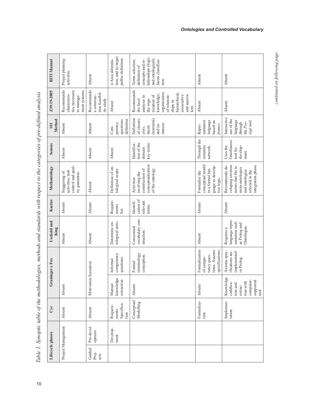|  | <b>BITI Manual</b>        | Project planning<br>activities.                                            | Absent                                                   | tion; and ii) target<br>public definition.<br>i) Area delimita- | lationships (logic<br>and ontological);<br>facets classifica-<br>Terms selection;<br>concepts and re-<br>definition of<br>tion.                                                      | Absent                                                                                    | Absent                                                                                                                                  |
|--|---------------------------|----------------------------------------------------------------------------|----------------------------------------------------------|-----------------------------------------------------------------|--------------------------------------------------------------------------------------------------------------------------------------------------------------------------------------|-------------------------------------------------------------------------------------------|-----------------------------------------------------------------------------------------------------------------------------------------|
|  | Z39.19-2005               | Recommends<br>ment systems<br>tics necessary<br>characteris-<br>to manage- | Recommends<br>tion feasibil-<br>a construc-<br>ity study | Absent                                                          | Recommends<br>organization<br>hierarchical,<br>knowledge;<br>and equiva-<br>of relation-<br>associative<br>nization of<br>analysis in<br>the orga-<br>the facet<br>ships in<br>lent. | Absent                                                                                    | Absent                                                                                                                                  |
|  | Method<br>101             | Absent                                                                     | Absent                                                   | definition<br>questions<br>petency<br>Com-                      | Definition<br>of classes,<br>(restrains)<br>stances<br>and in-<br>facets<br>slots,                                                                                                   | language<br>sentation<br>based on<br>frames.<br>Repre-                                    | Interactive<br>use of the<br>language<br>tégé tool.<br>the Pro-<br>through                                                              |
|  | Sensus                    | Absent                                                                     | Absent                                                   | Absent                                                          | tion of the<br>Identifica-<br>key-terms<br>domain                                                                                                                                    | Through the<br>semantic<br>network.                                                       | OntoSaurus<br>Uses the<br>develop-<br>tool for<br>ment.                                                                                 |
|  | Methontology              | control and qual-<br>activities; task<br>Staggering of<br>ity guarantee.   | Absent                                                   | Definition of on-<br>tological scope                            | conceptualization<br>of the ontology.<br>construction of<br>involving the<br>Activities                                                                                              | conceptual model<br>guage as descrip-<br>tive logic.<br>in a formal lan-<br>Formalize the | veloping environ-<br>Recommends de-<br>integration phase.<br>ments that fits to<br>meta-ontologies<br>and ontologies<br>selected in the |
|  | Kactus                    | Absent                                                                     | Absent                                                   | Require-<br>ments<br>list.                                      | cation of<br>Identifi-<br>relevant<br>terms.                                                                                                                                         | Absent                                                                                    | Absent                                                                                                                                  |
|  | Uschold and<br>King       | Absent                                                                     | Absent                                                   | Determine on-<br>tological aims.                                | vocabulary con-<br>Consensual<br>struction.                                                                                                                                          | Absent                                                                                    | language repre-<br>sentation such<br>as Prolog and<br>Ontolingua.<br>Requires a                                                         |
|  | Gruninger e Fox<br>Absent |                                                                            |                                                          | competency<br>questions.<br>Informal                            | terminology<br>conception.<br>Formal                                                                                                                                                 | Formalization<br>tions. Axioms<br>specifications.<br>tency ques-<br>of compe-             | Axioms spec-<br>implemented<br>ifications are<br>in Prolog.                                                                             |
|  |                           |                                                                            | Motivation Scenarios                                     | lge<br>extraction<br>knowled<br>Manual                          | Absent                                                                                                                                                                               | Absent                                                                                    | Knowledge<br>computer-<br>supported<br>tool<br>tion with<br>codifica-<br>tion and<br>extrac-                                            |
|  | Cyc                       | Absent                                                                     | Absent                                                   | Specifica-<br>Require-<br>ments<br>tion                         | Conceptual<br>Modelling                                                                                                                                                              | Formaliza-<br>tion                                                                        | Implemen-<br>tation                                                                                                                     |
|  |                           | Project Management                                                         | Pre-devel-<br>opment                                     | Develop-<br>ment                                                |                                                                                                                                                                                      |                                                                                           |                                                                                                                                         |
|  | lifecycle phases          |                                                                            | Guided<br>$\Pr{\text{oj}-}$<br>ects                      |                                                                 |                                                                                                                                                                                      |                                                                                           |                                                                                                                                         |

Table 1. Synoptic table of the methodologies, methods and standards with respect to the categories of pre-defined analysis *Table 1. Synoptic table of the methodologies, methods and standards with respect to the categories of pre-defined analysis* 

continued on following page *continued on following page*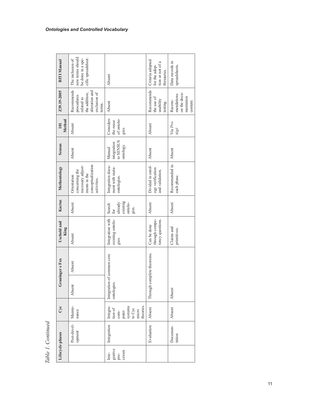| <b>BITI Manual</b>  | new terms should<br>be done in a spe-<br>cific spreadsheet.<br>The inclusion of                        | Absent                                                                             | Criteria adopted<br>tion or not of a<br>for the adop-<br>thesaurus. | Data records in<br>spreadsheets.                              |
|---------------------|--------------------------------------------------------------------------------------------------------|------------------------------------------------------------------------------------|---------------------------------------------------------------------|---------------------------------------------------------------|
| Z39.19-2005         | Recommends<br>alteration and<br>exclusion of<br>the addition,<br>procedures<br>related to<br>terms.    | Absent                                                                             | Recommends<br>the use of<br>usability<br>testing.                   | on the docu-<br>mendations<br>mentation<br>Recom-<br>content. |
| Method<br>101       | Absent                                                                                                 | Considers<br>of ontolo-<br>the reuse<br>gies.                                      | Absent                                                              | Via Pro-<br>tégé                                              |
| Sensus              | Absent                                                                                                 | integration<br>to SENSUS<br>ontology.<br>Manual                                    | Absent                                                              | Absent                                                        |
| Methontology        | conceptualization<br>necessary adjust-<br>concerning the<br>ments in the<br>Orientation<br>activities. | Integration docu-<br>ment with meta-<br>ontologies                                 | Divided in ontol-<br>ogy verification<br>and validation.            | Recommended in<br>each phase.                                 |
| Kactus              | Absent                                                                                                 | existing<br>already<br>ontolo-<br>Search<br>gies.<br>for                           | Absent                                                              | Absent                                                        |
| Uschold and<br>King | Absent                                                                                                 | Integration with<br>existing ontolo-<br>gies.                                      | tency questions.<br>through compe-<br>Can be done                   | Claims and<br>primitives.                                     |
| Gruninger e Fox     | Absent                                                                                                 | Integration of common core                                                         | Through complete theorems.                                          | Absent                                                        |
|                     | Absent                                                                                                 | ontologies.                                                                        |                                                                     |                                                               |
| Cyc                 | Mainte-<br>nance                                                                                       | Integra-<br>puter<br>systems<br>to $Cyc$<br>micro<br>theories<br>tion of<br>$com-$ | Absent                                                              | Absent                                                        |
|                     | Post-devel-<br>opment                                                                                  | Integration                                                                        | Evaluation                                                          | Documen-<br>tation                                            |
| Lifecycle phases    |                                                                                                        | grative<br>cesses<br>Inte-<br>pro-                                                 |                                                                     |                                                               |

Table 1. Continued *Table 1. Continued*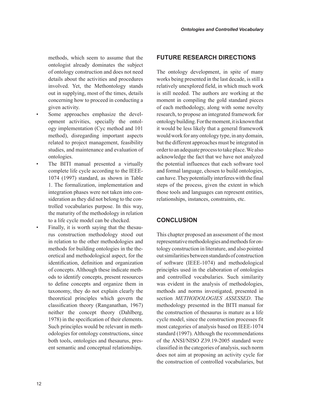methods, which seem to assume that the ontologist already dominates the subject of ontology construction and does not need details about the activities and procedures involved. Yet, the Methontology stands out in supplying, most of the times, details concerning how to proceed in conducting a given activity.

- Some approaches emphasize the development activities, specially the ontology implementation (Cyc method and 101 method), disregarding important aspects related to project management, feasibility studies, and maintenance and evaluation of ontologies.
- The BITI manual presented a virtually complete life cycle according to the IEEE-1074 (1997) standard, as shown in Table 1. The formalization, implementation and integration phases were not taken into consideration as they did not belong to the controlled vocabularies purpose. In this way, the maturity of the methodology in relation to a life cycle model can be checked.
- Finally, it is worth saying that the thesaurus construction methodology stood out in relation to the other methodologies and methods for building ontologies in the theoretical and methodological aspect, for the identification, definition and organization of concepts. Although these indicate methods to identify concepts, present resources to define concepts and organize them in taxonomy, they do not explain clearly the theoretical principles which govern the classification theory (Ranganathan, 1967) neither the concept theory (Dahlberg, 1978) in the specification of their elements. Such principles would be relevant in methodologies for ontology constructions, since both tools, ontologies and thesaurus, present semantic and conceptual relationships.

#### **FUTURE RESEARCH DIRECTIONS**

The ontology development, in spite of many works being presented in the last decade, is still a relatively unexplored field, in which much work is still needed. The authors are working at the moment in compiling the gold standard pieces of each methodology, along with some novelty research, to propose an integrated framework for ontology building. For the moment, it is known that it would be less likely that a general framework would work for any ontology type, in any domain, but the different approaches must be integrated in order to an adequate process to take place. We also acknowledge the fact that we have not analyzed the potential influences that each software tool and formal language, chosen to build ontologies, can have. They potentially interferes with the final steps of the process, given the extent in which those tools and languages can represent entities, relationships, instances, constraints, etc.

#### **CONCLUSION**

This chapter proposed an assessment of the most representative methodologies and methods for ontology construction in literature, and also pointed out similarities between standards of construction of software (IEEE-1074) and methodological principles used in the elaboration of ontologies and controlled vocabularies. Such similarity was evident in the analysis of methodologies, methods and norms investigated, presented in section *METHODOLOGIES ASSESSED*. The methodology presented in the BITI manual for the construction of thesaurus is mature as a life cycle model, since the construction processes fit most categories of analysis based on IEEE-1074 standard (1997). Although the recommendations of the ANSI/NISO Z39.19-2005 standard were classified in the categories of analysis, such norm does not aim at proposing an activity cycle for the construction of controlled vocabularies, but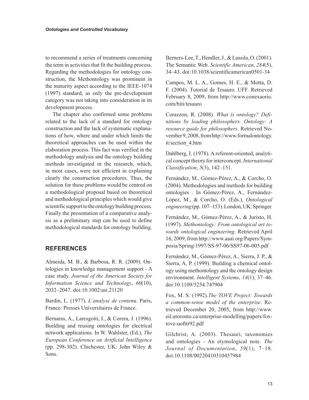to recommend a series of treatments concerning the term in activities that fit the building process. Regarding the methodologies for ontology construction, the Methontology was prominent in the maturity aspect according to the IEEE-1074 (1997) standard, as only the pre-development category was not taking into consideration in its development process.

The chapter also confirmed some problems related to the lack of a standard for ontology construction and the lack of systematic explanations of how, where and under which limits the theoretical approaches can be used within the elaboration process. This fact was verified in the methodology analysis and the ontology building methods investigated in the research, which, in most cases, were not efficient in explaining clearly the construction procedures. Thus, the solution for these problems would be centred on a methodological proposal based on theoretical and methodological principles which would give scientific support to the ontology building process. Finally the presentation of a comparative analysis as a preliminary step can be used to define methodological standards for ontology building.

### **REFERENCES**

Almeida, M. B., & Barbosa, R. R. (2009). Ontologies in knowledge management support - A case study. *Journal of the American Society for Information Science and Technology*, *60*(10), 2032–2047. doi:10.1002/asi.21120

Bardin, L. (1977). *L'analyse de contenu*. Paris, France: Presses Universitaires de France.

Bernaras, A., Laresgoiti, I., & Corera, J. (1996). Building and reusing ontologies for electrical network applications. In W. Wahlster, (Ed.), *The European Conference on Artificial Intelligence* (pp. 298-302). Chichester, UK: John Wiley & Sons.

Berners-Lee, T., Hendler, J., & Lassila, O. (2001). The Semantic Web. *Scientific American*, *284*(5), 34–43. doi:10.1038/scientificamerican0501-34

Campos, M. L. A., Gomes, H. E., & Motta, D. F. (2004). Tutorial de Tesauro. UFF. Retrieved February 8, 2009, from http://www.conexaorio. com/biti/tesauro

Corazzon, R. (2008). *What is ontology? Definitions by leading philosophers. Ontology: A resource guide for philosophers*. Retrieved November 9, 2008, from http://www.formalontology. it/section\_4.htm

Dahlberg, I. (1978). A referent-oriented, analytical concept theory for interconcept. *International Classification*, *5*(3), 142–151.

Fernández, M., Gómez-Pérez, A., & Corcho, O. (2004). Methodologies and methods for building ontologies . In Gómez-Pérez, A., Fernández-López, M., & Corcho, O. (Eds.), *Ontological engineering* (pp. 107–153). London, UK: Springer.

Fernández, M., Gómez-Pérez, A., & Juristo, H. (1997). *Methontology: From ontological art towards ontological engineering*. Retrieved April 16, 2009, from http://www.aaai.org/Papers/Symposia/Spring/1997/SS-97-06/SS97-06-005.pdf

Fernández, M., Gómez-Pérez, A., Sierra, J. P., & Sierra, A. P. (1999). Building a chemical ontology using methontology and the ontology design environment. *Intelligent Systems*, *14*(1), 37–46. doi:10.1109/5254.747904

Fox, M. S. (1992).*The TOVE Project: Towards a common-sense model of the enterprise*. Retrieved December 20, 2005, from http://www. eil.utoronto.ca/enterprise-modelling/papers/foxtove-uofttr92.pdf

Gilchrist, A. (2003). Thesauri, taxonomies and ontologies - An etymological note. *The Journal of Documentation*, *59*(1), 7–18. doi:10.1108/00220410310457984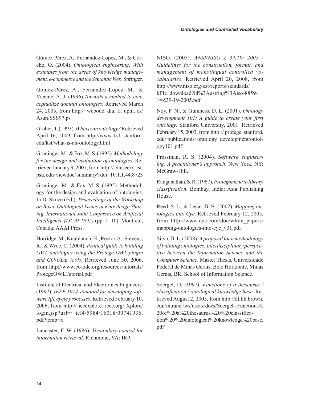Gómez-Pérez, A., Fernández-Lopez, M., & Corcho, O. (2004). *Ontological engineering: With examples from the areas of knowledge management, e-commerce and the Semantic Web*. Springer.

Gómez-Pérez, A., Fernández-Lopez, M., & Vicente, A. J. (1996).*Towards a method to conceptualize domain ontologies*. Retrieved March 24, 2005, from http:// webode. dia. fi. upm. es/ Asun/SSS97.ps

Gruber, T. (1993). *What is an ontology?* Retrieved April 16, 2009, from http://www-ksl. stanford. edu/kst/what-is-an-ontology.html

Gruninger, M., & Fox, M. S. (1995). *Methodology for the design and evaluation of ontologies*. Retrieved January 9, 2007, from http:// citeseerx. ist. psu. edu/ viewdoc/ summary? doi=10.1.1.44.8723

Gruninger, M., & Fox, M. S. (1995). Methodology for the design and evaluation of ontologies. In D. Skuce (Ed.), *Proceedings of the Workshop on Basic Ontological Issues in Knowledge Sharing, International Joint Conference on Artificial Intelligence (IJCAI 1995)* (pp. 1–10). Montreal, Canada: AAAI Press.

Horridge, M., Knublauch, H., Rector, A., Stevens, R., & Wroe, C. (2004). *Pratical guide to building OWL ontologies using the Protégé-OWL plugin and CO-ODE tools*. Retrieved June 30, 2006, from http://www.co-ode.org/resources/tutorials/ ProtegeOWLTutorial.pdf

Institute of Electrical and Electronics Engineers. (1997). *IEEE 1074 standard for developing software life cycle processes*. Retrieved February 10, 2006, from http:// ieeexplore. ieee.org/ Xplore/ login.jsp?url=/ iel4/5984/16018/00741936. pdf?temp=x

Lancaster, F. W. (1986). *Vocabulary control for information retrieval*. Richmond, VA: IRP.

NISO. (2005). *ANSI/NISO Z 39.19: 2005 - Guidelines for the construction, format, and management of monolingual controlled vocabularies*. Retrieved April 20, 2008, from http://www.niso.org/kst/reports/standards/ kfile\_download?id%3Austring%3Aiso-8859-1=Z39-19-2005.pdf

Noy, F. N., & Guinness, D. L. (2001). *Ontology development 101: A guide to create your first ontology*. Stanford University, 2001. Retrieved February 15, 2003, from http:// protege. stanford. edu/ publications/ ontology\_development/ontology101.pdf

Pressman, R. S. (2004). *Software engineering: A practitioner's approach*. New York, NY: McGraw-Hill.

Ranganathan, S. R. (1967). *Prolegomena to library classification*. Bombay, India: Asia Publishing House.

Reed, S. L., & Lenat, D. B. (2002). *Mapping ontologies into Cyc*. Retrieved February 12, 2005, from http://www.cyc.com/doc/white\_papers/ mapping-ontologies-into-cyc\_v31.pdf

Silva, D. L. (2008). *A proposal for a methodology of building ontologies: Interdisciplinary perspective between the Information Science and the Computer Science*. Master Thesis, Universidade Federal de Minas Gerais, Belo Horizonte, Minas Gerais, BR, School of Information Science.

Soergel, D. (1997). *Functions of a thesaurus / classification / ontological knowledge base*. Retrieved August 2, 2005, from http://dl.lib.brown. edu/intranet/ws/userx/docs/Soergel--Functions% 20of%20a%20thesaurus%20%20classification%20%20ontological%20knowledge%20base. pdf